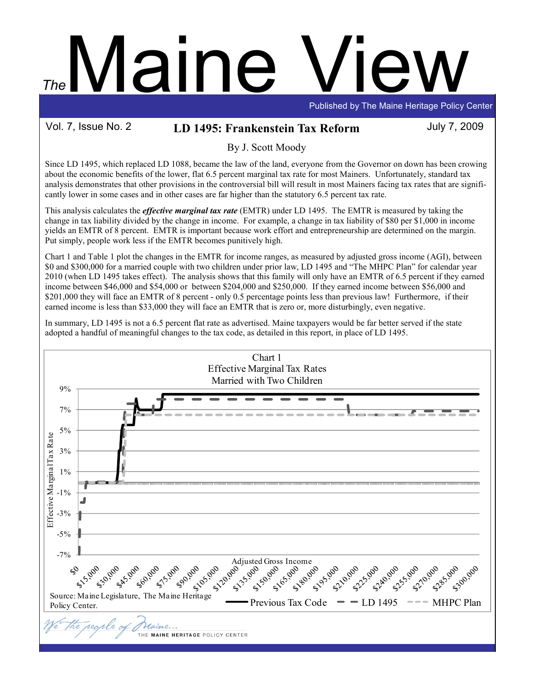# Maine The

Published by The Maine Heritage Policy Center

## Vol. 7, Issue No. 2 LD 1495: Frankenstein Tax Reform July 7, 2009

By J. Scott Moody

Since LD 1495, which replaced LD 1088, became the law of the land, everyone from the Governor on down has been crowing about the economic benefits of the lower, flat 6.5 percent marginal tax rate for most Mainers. Unfortunately, standard tax analysis demonstrates that other provisions in the controversial bill will result in most Mainers facing tax rates that are significantly lower in some cases and in other cases are far higher than the statutory 6.5 percent tax rate.

This analysis calculates the *effective marginal tax rate* (EMTR) under LD 1495. The EMTR is measured by taking the change in tax liability divided by the change in income. For example, a change in tax liability of \$80 per \$1,000 in income yields an EMTR of 8 percent. EMTR is important because work effort and entrepreneurship are determined on the margin. Put simply, people work less if the EMTR becomes punitively high.

Chart 1 and Table 1 plot the changes in the EMTR for income ranges, as measured by adjusted gross income (AGI), between \$0 and \$300,000 for a married couple with two children under prior law, LD 1495 and "The MHPC Plan" for calendar year 2010 (when LD 1495 takes effect). The analysis shows that this family will only have an EMTR of 6.5 percent if they earned income between \$46,000 and \$54,000 or between \$204,000 and \$250,000. If they earned income between \$56,000 and \$201,000 they will face an EMTR of 8 percent - only 0.5 percentage points less than previous law! Furthermore, if their earned income is less than \$33,000 they will face an EMTR that is zero or, more disturbingly, even negative.

In summary, LD 1495 is not a 6.5 percent flat rate as advertised. Maine taxpayers would be far better served if the state adopted a handful of meaningful changes to the tax code, as detailed in this report, in place of LD 1495.

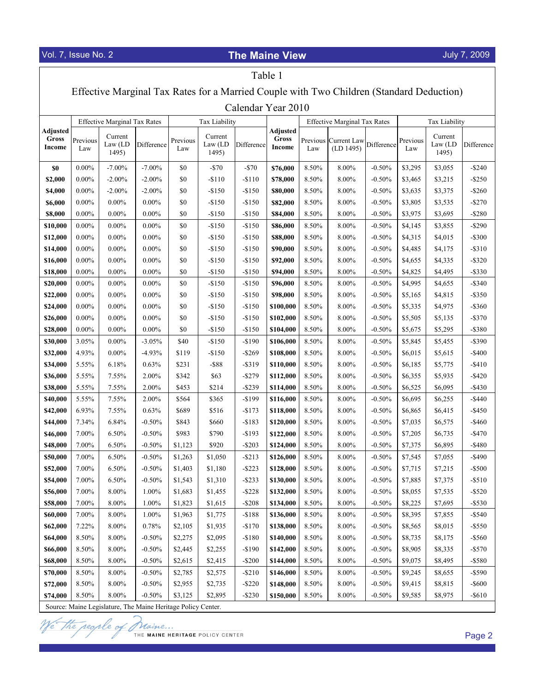$\overline{1}$ 

# Vol. 7, Issue No. 2 **The Maine View**

# July 7, 2009

٦

| Table 1                                                                                  |                 |                                     |            |                 |                             |            |                                    |                |                                     |            |                 |                             |                        |
|------------------------------------------------------------------------------------------|-----------------|-------------------------------------|------------|-----------------|-----------------------------|------------|------------------------------------|----------------|-------------------------------------|------------|-----------------|-----------------------------|------------------------|
| Effective Marginal Tax Rates for a Married Couple with Two Children (Standard Deduction) |                 |                                     |            |                 |                             |            |                                    |                |                                     |            |                 |                             |                        |
| Calendar Year 2010                                                                       |                 |                                     |            |                 |                             |            |                                    |                |                                     |            |                 |                             |                        |
|                                                                                          |                 | <b>Effective Marginal Tax Rates</b> |            |                 | Tax Liability               |            |                                    |                | <b>Effective Marginal Tax Rates</b> |            | Tax Liability   |                             |                        |
| Adjusted<br>Gross<br>Income                                                              | Previous<br>Law | Current<br>Law (LD)<br>1495)        | Difference | Previous<br>Law | Current<br>Law (LD<br>1495) | Difference | <b>Adjusted</b><br>Gross<br>Income | Law            | Previous Current Law<br>(LD 1495)   | Difference | Previous<br>Law | Current<br>Law (LD<br>1495) | Difference             |
| \$0                                                                                      | $0.00\%$        | $-7.00%$                            | $-7.00\%$  | \$0             | $-$70$                      | $-$70$     | \$76,000                           | 8.50%          | $8.00\%$                            | $-0.50%$   | \$3,295         | \$3,055                     | $-$ \$240              |
| \$2,000                                                                                  | $0.00\%$        | $-2.00%$                            | $-2.00\%$  | \$0             | $-$110$                     | $-$110$    | \$78,000                           | 8.50%          | 8.00%                               | $-0.50%$   | \$3,465         | \$3,215                     | $-$ \$250              |
| \$4,000                                                                                  | $0.00\%$        | $-2.00%$                            | $-2.00\%$  | \$0             | $-$150$                     | $-$150$    | \$80,000                           | 8.50%          | 8.00%                               | $-0.50%$   | \$3,635         | \$3,375                     | $-$ \$260              |
| \$6,000                                                                                  | $0.00\%$        | $0.00\%$                            | $0.00\%$   | \$0             | $-$150$                     | $-$150$    | \$82,000                           | 8.50%          | 8.00%                               | $-0.50%$   | \$3,805         | \$3,535                     | $-$270$                |
| \$8,000                                                                                  | $0.00\%$        | $0.00\%$                            | $0.00\%$   | \$0             | $-$150$                     | $-$150$    | \$84,000                           | 8.50%          | 8.00%                               | $-0.50%$   | \$3,975         | \$3,695                     | $-$ \$280              |
| \$10,000                                                                                 | $0.00\%$        | $0.00\%$                            | $0.00\%$   | \$0             | $-$150$                     | $-$150$    | \$86,000                           | 8.50%          | 8.00%                               | $-0.50%$   | \$4,145         | \$3,855                     | $-$ \$290              |
| \$12,000                                                                                 | $0.00\%$        | $0.00\%$                            | $0.00\%$   | \$0             | $-$150$                     | $-$150$    | \$88,000                           | 8.50%          | 8.00%                               | $-0.50%$   | \$4,315         | \$4,015                     | $-$ \$300              |
| \$14,000                                                                                 | $0.00\%$        | $0.00\%$                            | $0.00\%$   | \$0             | $-$150$                     | $-$150$    | \$90,000                           | 8.50%          | 8.00%                               | $-0.50%$   | \$4,485         | \$4,175                     | $-$ \$310              |
| \$16,000                                                                                 | $0.00\%$        | $0.00\%$                            | 0.00%      | \$0             | $-$150$                     | $-$150$    | \$92,000                           | 8.50%          | 8.00%                               | $-0.50%$   | \$4,655         | \$4,335                     | $-$ \$320              |
| \$18,000                                                                                 | $0.00\%$        | $0.00\%$                            | $0.00\%$   | \$0             | $-$150$                     | $-$150$    | \$94,000                           | 8.50%          | 8.00%                               | $-0.50%$   | \$4,825         | \$4,495                     | $-$ \$330              |
| \$20,000                                                                                 | $0.00\%$        | $0.00\%$                            | 0.00%      | \$0             | $-$150$                     | $-$150$    | \$96,000                           | 8.50%          | 8.00%                               | $-0.50%$   | \$4,995         | \$4,655                     | $-$ \$340              |
| \$22,000                                                                                 | $0.00\%$        | $0.00\%$                            | 0.00%      | \$0             | $-$150$                     | $-$150$    | \$98,000                           | 8.50%          | 8.00%                               | $-0.50%$   | \$5,165         | \$4,815                     | $-$ \$350              |
| \$24,000                                                                                 | $0.00\%$        | $0.00\%$                            | $0.00\%$   | \$0             | $-$150$                     | $-$150$    | \$100,000                          | 8.50%          | 8.00%                               | $-0.50%$   | \$5,335         | \$4,975                     | $-$ \$360              |
| \$26,000                                                                                 | $0.00\%$        | $0.00\%$                            | 0.00%      | \$0             | $-$150$                     | $-$150$    | \$102,000                          | 8.50%          | 8.00%                               | $-0.50%$   | \$5,505         | \$5,135                     | $-$ \$370              |
| \$28,000                                                                                 | $0.00\%$        | $0.00\%$                            | $0.00\%$   | \$0             | $-$150$                     | $-$150$    | \$104,000                          | 8.50%          | 8.00%                               | $-0.50%$   | \$5,675         | \$5,295                     | $-$ \$380              |
| \$30,000                                                                                 | 3.05%           | $0.00\%$                            | $-3.05%$   | \$40            | $-$150$                     | $-$190$    | \$106,000                          | 8.50%          | 8.00%                               | $-0.50%$   | \$5,845         | \$5,455                     | $-$ \$390              |
| \$32,000                                                                                 | 4.93%           | $0.00\%$                            | $-4.93%$   | \$119           | $-$150$                     | $-$ \$269  | \$108,000                          | 8.50%          | 8.00%                               | $-0.50%$   | \$6,015         | \$5,615                     | $-$ \$400              |
| \$34,000                                                                                 | 5.55%           | 6.18%                               | 0.63%      | \$231           | $-$ \$88                    | $-$ \$319  | \$110,000                          | 8.50%          | 8.00%                               | $-0.50%$   | \$6,185         | \$5,775                     | $-$ \$410              |
| \$36,000                                                                                 | 5.55%           | 7.55%                               | 2.00%      | \$342           | \$63                        | $-$ \$279  | \$112,000                          | 8.50%          | 8.00%                               | $-0.50%$   | \$6,355         | \$5,935                     | $-$ \$420              |
| \$38,000                                                                                 | 5.55%           | 7.55%                               | 2.00%      | \$453           | \$214                       | $-$ \$239  | \$114,000                          | 8.50%          | 8.00%                               | $-0.50%$   | \$6,525         | \$6,095                     | $-$ \$430              |
| \$40,000                                                                                 | 5.55%           | 7.55%                               | 2.00%      | \$564           | \$365                       | $-$199$    | \$116,000                          | 8.50%          | 8.00%                               | $-0.50%$   | \$6,695         | \$6,255                     | $-$ \$440              |
| \$42,000                                                                                 | 6.93%           | 7.55%                               | 0.63%      | \$689           | \$516                       | $-$173$    | \$118,000                          | 8.50%          | 8.00%                               | $-0.50%$   | \$6,865         | \$6,415                     | -\$450                 |
| \$44,000                                                                                 | 7.34%           | 6.84%                               | $-0.50%$   | \$843           | \$660                       | $-$183$    | \$120,000                          | 8.50%          | 8.00%                               | $-0.50%$   | \$7,035         | \$6,575                     | -\$460                 |
| \$46,000                                                                                 | 7.00%           | 6.50%                               | $-0.50%$   | \$983           | \$790                       | $-$193$    | \$122,000                          | 8.50%          | 8.00%                               | $-0.50%$   | \$7,205         | \$6,735                     | $-$ \$470              |
| \$48,000                                                                                 | 7.00%           | 6.50%                               | $-0.50%$   | \$1,123         | \$920                       | $-$ \$203  | \$124,000                          | 8.50%          | 8.00%                               | $-0.50%$   | \$7,375         | \$6,895                     | $-$ \$480              |
| \$50,000                                                                                 | 7.00%           | 6.50%                               | $-0.50%$   | \$1,263         | \$1,050                     | $- $213$   | \$126,000                          | 8.50%          | 8.00%                               | $-0.50%$   | \$7,545         | \$7,055                     | $-$ \$490              |
| \$52,000                                                                                 | 7.00%           | 6.50%                               | $-0.50%$   | \$1,403         | \$1,180                     | $-$ \$223  | \$128,000                          | 8.50%          | 8.00%                               | $-0.50%$   | \$7,715         | \$7,215                     | $-$ \$500              |
| \$54,000                                                                                 | 7.00%           | 6.50%                               | $-0.50%$   | \$1,543         | \$1,310                     | $-$ \$233  | \$130,000                          | 8.50%          | 8.00%                               | $-0.50%$   | \$7,885         | \$7,375                     | $- $510$               |
| \$56,000                                                                                 | 7.00%           | 8.00%                               | 1.00%      | \$1,683         | \$1,455                     | $-$ \$228  | \$132,000                          | 8.50%          | $8.00\%$                            | $-0.50%$   | \$8,055         | \$7,535                     | $-$ \$520              |
| \$58,000                                                                                 | 7.00%           | 8.00%                               | 1.00%      | \$1,823         | \$1,615                     | $-$ \$208  | \$134,000                          | 8.50%          | 8.00%                               | $-0.50%$   | \$8,225         | \$7,695                     | $-$ \$530              |
| \$60,000                                                                                 | 7.00%           | 8.00%                               | 1.00%      | \$1,963         | \$1,775                     | $-$188$    | \$136,000                          | 8.50%          | 8.00%                               | $-0.50%$   | \$8,395         | \$7,855                     | $-$ \$540              |
| \$62,000                                                                                 | 7.22%           | 8.00%                               | 0.78%      | \$2,105         | \$1,935                     | $-$170$    | \$138,000                          | 8.50%          | 8.00%                               | $-0.50%$   | \$8,565         | \$8,015                     | $-$ \$550              |
| \$64,000                                                                                 | 8.50%           | $8.00\%$                            | $-0.50%$   | \$2,275         | \$2,095                     | $-$180$    | \$140,000                          | 8.50%          | 8.00%                               | $-0.50%$   | \$8,735         | \$8,175                     | $-$ \$560              |
| \$66,000                                                                                 | 8.50%<br>8.50%  | 8.00%<br>8.00%                      | $-0.50%$   | \$2,445         | \$2,255                     | $-$190$    | \$142,000                          | 8.50%          | 8.00%                               | $-0.50%$   | \$8,905         | \$8,335                     | $-$ \$570              |
| \$68,000                                                                                 | 8.50%           | 8.00%                               | $-0.50%$   | \$2,615         | \$2,415                     | $-$ \$200  | \$144,000                          | 8.50%          | 8.00%                               | $-0.50%$   | \$9,075         | \$8,495<br>\$8,655          | $-$ \$580<br>$-$ \$590 |
| \$70,000                                                                                 | 8.50%           | 8.00%                               | $-0.50%$   | \$2,785         | \$2,575                     | $-$ \$210  | \$146,000                          | 8.50%<br>8.50% | 8.00%<br>8.00%                      | $-0.50%$   | \$9,245         |                             |                        |
| \$72,000                                                                                 |                 |                                     | $-0.50%$   | \$2,955         | \$2,735                     | $-$ \$220  | \$148,000                          |                |                                     | $-0.50%$   | \$9,415         | \$8,815                     | $-$ \$600              |
| \$74,000                                                                                 | 8.50%           | $8.00\%$                            | $-0.50%$   | \$3,125         | \$2,895                     | $-$ \$230  | \$150,000                          | 8.50%          | 8.00%                               | $-0.50%$   | \$9,585         | \$8,975                     | $-$ \$610              |

Source: Maine Legislature, The Maine Heritage Policy Center.

The regale of Maine...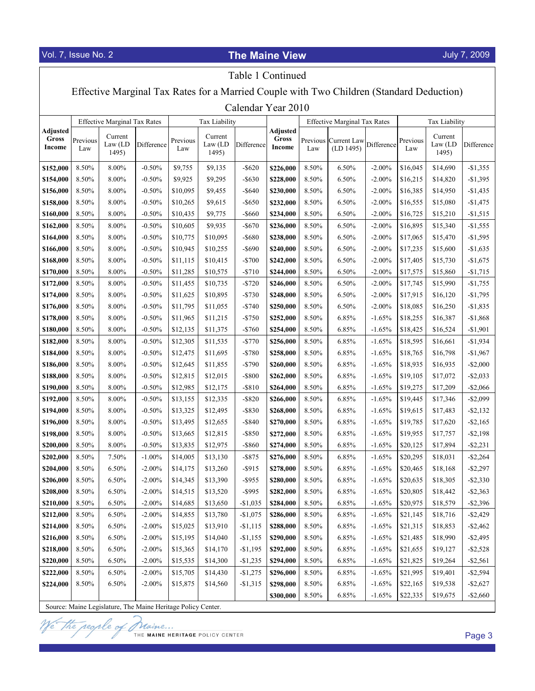| Table 1 Continued                                                                        |                 |                                     |            |                 |                             |            |                                    |       |                                     |            |                 |                             |             |
|------------------------------------------------------------------------------------------|-----------------|-------------------------------------|------------|-----------------|-----------------------------|------------|------------------------------------|-------|-------------------------------------|------------|-----------------|-----------------------------|-------------|
| Effective Marginal Tax Rates for a Married Couple with Two Children (Standard Deduction) |                 |                                     |            |                 |                             |            |                                    |       |                                     |            |                 |                             |             |
| Calendar Year 2010                                                                       |                 |                                     |            |                 |                             |            |                                    |       |                                     |            |                 |                             |             |
|                                                                                          |                 | <b>Effective Marginal Tax Rates</b> |            |                 | <b>Tax Liability</b>        |            |                                    |       | <b>Effective Marginal Tax Rates</b> |            | Tax Liability   |                             |             |
| Adjusted<br>Gross<br>Income                                                              | Previous<br>Law | Current<br>Law (LD)<br>1495)        | Difference | Previous<br>Law | Current<br>Law (LD<br>1495) | Difference | <b>Adjusted</b><br>Gross<br>Income | Law   | Previous Current Law<br>(LD 1495)   | Difference | Previous<br>Law | Current<br>Law (LD<br>1495) | Difference  |
| \$152,000                                                                                | 8.50%           | 8.00%                               | $-0.50%$   | \$9,755         | \$9,135                     | $-$ \$620  | \$226,000                          | 8.50% | 6.50%                               | $-2.00%$   | \$16,045        | \$14,690                    | $-$1,355$   |
| \$154,000                                                                                | 8.50%           | 8.00%                               | $-0.50%$   | \$9,925         | \$9,295                     | $-$ \$630  | \$228,000                          | 8.50% | 6.50%                               | $-2.00\%$  | \$16,215        | \$14,820                    | $-$1,395$   |
| \$156,000                                                                                | 8.50%           | 8.00%                               | $-0.50%$   | \$10,095        | \$9,455                     | $-$ \$640  | \$230,000                          | 8.50% | 6.50%                               | $-2.00\%$  | \$16,385        | \$14,950                    | $-$1,435$   |
| \$158,000                                                                                | 8.50%           | 8.00%                               | $-0.50%$   | \$10,265        | \$9,615                     | $-$ \$650  | \$232,000                          | 8.50% | 6.50%                               | $-2.00%$   | \$16,555        | \$15,080                    | $-$1,475$   |
| \$160,000                                                                                | 8.50%           | $8.00\%$                            | $-0.50%$   | \$10,435        | \$9,775                     | $-$ \$660  | \$234,000                          | 8.50% | 6.50%                               | $-2.00%$   | \$16,725        | \$15,210                    | $-$1,515$   |
| \$162,000                                                                                | 8.50%           | 8.00%                               | $-0.50%$   | \$10,605        | \$9,935                     | $-$ \$670  | \$236,000                          | 8.50% | 6.50%                               | $-2.00%$   | \$16,895        | \$15,340                    | $-$1,555$   |
| \$164,000                                                                                | 8.50%           | 8.00%                               | $-0.50%$   | \$10,775        | \$10,095                    | $-$ \$680  | \$238,000                          | 8.50% | 6.50%                               | $-2.00%$   | \$17,065        | \$15,470                    | $-$1,595$   |
| \$166,000                                                                                | 8.50%           | 8.00%                               | $-0.50%$   | \$10,945        | \$10,255                    | $-$ \$690  | \$240,000                          | 8.50% | 6.50%                               | $-2.00%$   | \$17,235        | \$15,600                    | $-$1,635$   |
| \$168,000                                                                                | 8.50%           | 8.00%                               | $-0.50%$   | \$11,115        | \$10,415                    | $-$700$    | \$242,000                          | 8.50% | 6.50%                               | $-2.00%$   | \$17,405        | \$15,730                    | $-$1,675$   |
| \$170,000                                                                                | 8.50%           | 8.00%                               | $-0.50%$   | \$11,285        | \$10,575                    | $-$710$    | \$244,000                          | 8.50% | 6.50%                               | $-2.00%$   | \$17,575        | \$15,860                    | $-$1,715$   |
| \$172,000                                                                                | 8.50%           | 8.00%                               | $-0.50%$   | \$11,455        | \$10,735                    | $-$720$    | \$246,000                          | 8.50% | 6.50%                               | $-2.00%$   | \$17,745        | \$15,990                    | $-$1,755$   |
| \$174,000                                                                                | 8.50%           | 8.00%                               | $-0.50%$   | \$11,625        | \$10,895                    | $-$730$    | \$248,000                          | 8.50% | 6.50%                               | $-2.00%$   | \$17,915        | \$16,120                    | $-$1,795$   |
| \$176,000                                                                                | 8.50%           | 8.00%                               | $-0.50%$   | \$11,795        | \$11,055                    | $-$740$    | \$250,000                          | 8.50% | 6.50%                               | $-2.00\%$  | \$18,085        | \$16,250                    | $-$1,835$   |
| \$178,000                                                                                | 8.50%           | $8.00\%$                            | $-0.50%$   | \$11,965        | \$11,215                    | $-$750$    | \$252,000                          | 8.50% | 6.85%                               | $-1.65%$   | \$18,255        | \$16,387                    | $-$1,868$   |
| \$180,000                                                                                | 8.50%           | 8.00%                               | $-0.50%$   | \$12,135        | \$11,375                    | $-$760$    | \$254,000                          | 8.50% | 6.85%                               | $-1.65%$   | \$18,425        | \$16,524                    | $-$1,901$   |
| \$182,000                                                                                | 8.50%           | 8.00%                               | $-0.50%$   | \$12,305        | \$11,535                    | $-$770$    | \$256,000                          | 8.50% | 6.85%                               | $-1.65%$   | \$18,595        | \$16,661                    | $-$1,934$   |
| \$184,000                                                                                | 8.50%           | 8.00%                               | $-0.50%$   | \$12,475        | \$11,695                    | $-5780$    | \$258,000                          | 8.50% | 6.85%                               | $-1.65%$   | \$18,765        | \$16,798                    | $-$1,967$   |
| \$186,000                                                                                | 8.50%           | 8.00%                               | $-0.50%$   | \$12,645        | \$11,855                    | $-$790$    | \$260,000                          | 8.50% | 6.85%                               | $-1.65%$   | \$18,935        | \$16,935                    | $-$2,000$   |
| \$188,000                                                                                | 8.50%           | $8.00\%$                            | $-0.50%$   | \$12,815        | \$12,015                    | $-$ \$800  | \$262,000                          | 8.50% | 6.85%                               | $-1.65%$   | \$19,105        | \$17,072                    | $-$ \$2,033 |
| \$190,000                                                                                | 8.50%           | 8.00%                               | $-0.50%$   | \$12,985        | \$12,175                    | $-$ \$810  | \$264,000                          | 8.50% | 6.85%                               | $-1.65%$   | \$19,275        | \$17,209                    | $-$2,066$   |
| \$192,000                                                                                | 8.50%           | 8.00%                               | $-0.50%$   | \$13,155        | \$12,335                    | $-$ \$820  | \$266,000                          | 8.50% | 6.85%                               | $-1.65%$   | \$19,445        | \$17,346                    | $-$2,099$   |
| \$194,000                                                                                | 8.50%           | 8.00%                               | $-0.50%$   | \$13,325        | \$12,495                    | $-$ \$830  | \$268,000                          | 8.50% | 6.85%                               | $-1.65%$   | \$19,615        | \$17,483                    | $-$ \$2,132 |
| \$196,000                                                                                | 8.50%           | 8.00%                               | $-0.50%$   | \$13,495        | \$12,655                    | $-$ \$840  | \$270,000                          | 8.50% | 6.85%                               | $-1.65%$   | \$19,785        | \$17,620                    | $-$ \$2,165 |
| \$198,000                                                                                | 8.50%           | $8.00\%$                            | $-0.50%$   | \$13,665        | \$12,815                    | $-$ \$850  | \$272,000                          | 8.50% | 6.85%                               | $-1.65%$   | \$19,955        | \$17,757                    | $- $2,198$  |
| \$200,000                                                                                | 8.50%           | 8.00%                               | $-0.50%$   | \$13,835        | \$12,975                    | $-$ \$860  | \$274,000                          | 8.50% | 6.85%                               | $-1.65%$   | \$20,125        | \$17,894                    | $-$ \$2,231 |
| \$202,000                                                                                | 8.50%           | 7.50%                               | $-1.00\%$  | \$14,005        | \$13,130                    | $-$ \$875  | \$276,000                          | 8.50% | 6.85%                               | $-1.65%$   | \$20,295        | \$18,031                    | $-$ \$2,264 |
| \$204,000                                                                                | 8.50%           | 6.50%                               | $-2.00\%$  | \$14,175        | \$13,260                    | $-$ \$915  | \$278,000                          | 8.50% | 6.85%                               | $-1.65%$   | \$20,465        | \$18,168                    | $-$2,297$   |
| \$206,000                                                                                | 8.50%           | 6.50%                               | $-2.00\%$  | \$14,345        | \$13,390                    | $-$ \$955  | \$280,000                          | 8.50% | 6.85%                               | $-1.65%$   | \$20,635        | \$18,305                    | $-$ \$2,330 |
| \$208,000                                                                                | 8.50%           | 6.50%                               | $-2.00\%$  | \$14,515        | \$13,520                    | $-$ \$995  | \$282,000                          | 8.50% | 6.85%                               | $-1.65%$   | \$20,805        | \$18,442                    | $-$ \$2,363 |
| \$210,000                                                                                | 8.50%           | 6.50%                               | $-2.00\%$  | \$14,685        | \$13,650                    | $-$1,035$  | \$284,000                          | 8.50% | 6.85%                               | $-1.65%$   | \$20,975        | \$18,579                    | $-$ \$2,396 |
| \$212,000                                                                                | 8.50%           | 6.50%                               | $-2.00\%$  | \$14,855        | \$13,780                    | $-$1,075$  | \$286,000                          | 8.50% | 6.85%                               | $-1.65%$   | \$21,145        | \$18,716                    | $-$2,429$   |
| \$214,000                                                                                | 8.50%           | 6.50%                               | $-2.00\%$  | \$15,025        | \$13,910                    | $-$1,115$  | \$288,000                          | 8.50% | 6.85%                               | $-1.65%$   | \$21,315        | \$18,853                    | $-$2,462$   |
| \$216,000                                                                                | 8.50%           | 6.50%                               | $-2.00\%$  | \$15,195        | \$14,040                    | $-$1,155$  | \$290,000                          | 8.50% | 6.85%                               | $-1.65%$   | \$21,485        | \$18,990                    | $-$2,495$   |
| \$218,000                                                                                | 8.50%           | 6.50%                               | $-2.00\%$  | \$15,365        | \$14,170                    | $-$1,195$  | \$292,000                          | 8.50% | 6.85%                               | $-1.65%$   | \$21,655        | \$19,127                    | $-$2,528$   |
| \$220,000                                                                                | 8.50%           | 6.50%                               | $-2.00\%$  | \$15,535        | \$14,300                    | $-$1,235$  | \$294,000                          | 8.50% | 6.85%                               | $-1.65%$   | \$21,825        | \$19,264                    | $-$ \$2,561 |
| \$222,000                                                                                | 8.50%           | 6.50%                               | $-2.00\%$  | \$15,705        | \$14,430                    | $-$1,275$  | \$296,000                          | 8.50% | 6.85%                               | $-1.65%$   | \$21,995        | \$19,401                    | $-$ \$2,594 |
| \$224,000                                                                                | 8.50%           | 6.50%                               | $-2.00\%$  | \$15,875        | \$14,560                    | $-$1,315$  | \$298,000                          | 8.50% | 6.85%                               | $-1.65%$   | \$22,165        | \$19,538                    | $-$ \$2,627 |
|                                                                                          |                 |                                     |            |                 |                             |            | \$300,000                          | 8.50% | 6.85%                               | $-1.65%$   | \$22,335        | \$19,675                    | $-$ \$2,660 |

Source: Maine Legislature, The Maine Heritage Policy Center.

reople o te l

*Maine...*<br>THE MAINE HERITAGE POLICY CENTER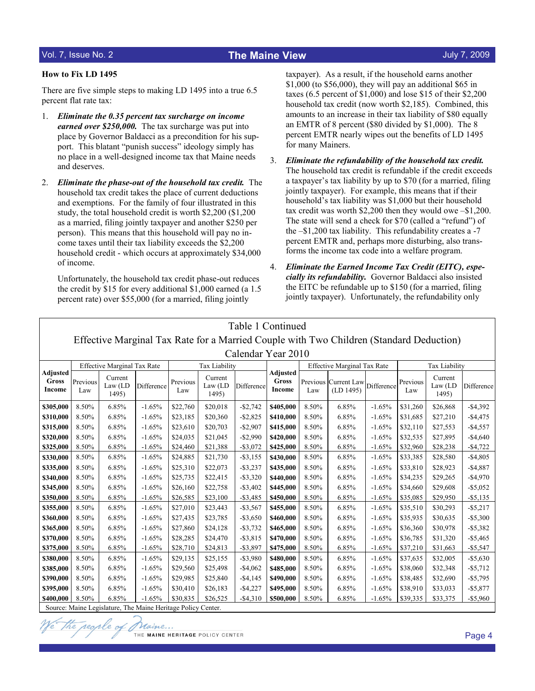### How to Fix LD 1495

There are five simple steps to making LD 1495 into a true 6.5 percent flat rate tax:

- 1. Eliminate the 0.35 percent tax surcharge on income earned over \$250,000. The tax surcharge was put into place by Governor Baldacci as a precondition for his support. This blatant "punish success" ideology simply has no place in a well-designed income tax that Maine needs and deserves.
- 2. Eliminate the phase-out of the household tax credit. The household tax credit takes the place of current deductions and exemptions. For the family of four illustrated in this study, the total household credit is worth \$2,200 (\$1,200 as a married, filing jointly taxpayer and another \$250 per person). This means that this household will pay no income taxes until their tax liability exceeds the \$2,200 household credit - which occurs at approximately \$34,000 of income.

Unfortunately, the household tax credit phase-out reduces the credit by \$15 for every additional \$1,000 earned (a 1.5 percent rate) over \$55,000 (for a married, filing jointly

taxpayer). As a result, if the household earns another \$1,000 (to \$56,000), they will pay an additional \$65 in taxes (6.5 percent of \$1,000) and lose \$15 of their \$2,200 household tax credit (now worth \$2,185). Combined, this amounts to an increase in their tax liability of \$80 equally an EMTR of 8 percent (\$80 divided by \$1,000). The 8 percent EMTR nearly wipes out the benefits of LD 1495 for many Mainers.

- 3. Eliminate the refundability of the household tax credit. The household tax credit is refundable if the credit exceeds a taxpayer's tax liability by up to \$70 (for a married, filing jointly taxpayer). For example, this means that if their household's tax liability was \$1,000 but their household tax credit was worth \$2,200 then they would owe –\$1,200. The state will send a check for \$70 (called a "refund") of the –\$1,200 tax liability. This refundability creates a -7 percent EMTR and, perhaps more disturbing, also transforms the income tax code into a welfare program.
- 4. Eliminate the Earned Income Tax Credit (EITC), especially its refundability. Governor Baldacci also insisted the EITC be refundable up to \$150 (for a married, filing jointly taxpayer). Unfortunately, the refundability only

| Table 1 Continued                                                                       |                                                                                                                          |                              |            |                 |                              |             |                                    |                 |                          |            |                 |                              |             |
|-----------------------------------------------------------------------------------------|--------------------------------------------------------------------------------------------------------------------------|------------------------------|------------|-----------------|------------------------------|-------------|------------------------------------|-----------------|--------------------------|------------|-----------------|------------------------------|-------------|
| Effective Marginal Tax Rate for a Married Couple with Two Children (Standard Deduction) |                                                                                                                          |                              |            |                 |                              |             |                                    |                 |                          |            |                 |                              |             |
| Calendar Year 2010                                                                      |                                                                                                                          |                              |            |                 |                              |             |                                    |                 |                          |            |                 |                              |             |
|                                                                                         | <b>Effective Marginal Tax Rate</b><br><b>Effective Marginal Tax Rate</b><br><b>Tax Liability</b><br><b>Tax Liability</b> |                              |            |                 |                              |             |                                    |                 |                          |            |                 |                              |             |
| <b>Adjusted</b><br>Gross<br>Income                                                      | Previous<br>Law                                                                                                          | Current<br>Law (LD)<br>1495) | Difference | Previous<br>Law | Current<br>Law (LD)<br>1495) | Difference  | <b>Adjusted</b><br>Gross<br>Income | Previous<br>Law | Current Law<br>(LD 1495) | Difference | Previous<br>Law | Current<br>Law (LD)<br>1495) | Difference  |
| \$305,000                                                                               | 8.50%                                                                                                                    | 6.85%                        | $-1.65%$   | \$22,760        | \$20,018                     | $-$2,742$   | \$405,000                          | 8.50%           | 6.85%                    | $-1.65%$   | \$31,260        | \$26,868                     | $-$4,392$   |
| \$310,000                                                                               | 8.50%                                                                                                                    | 6.85%                        | $-1.65%$   | \$23,185        | \$20,360                     | $-$2,825$   | \$410,000                          | 8.50%           | 6.85%                    | $-1.65%$   | \$31,685        | \$27,210                     | $-$4,475$   |
| \$315,000                                                                               | 8.50%                                                                                                                    | 6.85%                        | $-1.65%$   | \$23,610        | \$20,703                     | $-$ \$2,907 | \$415,000                          | 8.50%           | 6.85%                    | $-1.65%$   | \$32,110        | \$27,553                     | $-$4,557$   |
| \$320,000                                                                               | 8.50%                                                                                                                    | 6.85%                        | $-1.65%$   | \$24,035        | \$21,045                     | $-$ \$2,990 | \$420,000                          | 8.50%           | 6.85%                    | $-1.65%$   | \$32,535        | \$27,895                     | $-$4,640$   |
| \$325,000                                                                               | 8.50%                                                                                                                    | 6.85%                        | $-1.65%$   | \$24,460        | \$21,388                     | $-$ \$3,072 | \$425,000                          | 8.50%           | 6.85%                    | $-1.65%$   | \$32,960        | \$28,238                     | $-$4,722$   |
| \$330,000                                                                               | 8.50%                                                                                                                    | 6.85%                        | $-1.65%$   | \$24,885        | \$21,730                     | $-$ \$3,155 | \$430,000                          | 8.50%           | 6.85%                    | $-1.65%$   | \$33,385        | \$28,580                     | $-$4,805$   |
| \$335,000                                                                               | 8.50%                                                                                                                    | 6.85%                        | $-1.65%$   | \$25,310        | \$22,073                     | $-$ \$3,237 | \$435,000                          | 8.50%           | 6.85%                    | $-1.65%$   | \$33,810        | \$28,923                     | $-$4,887$   |
| \$340,000                                                                               | 8.50%                                                                                                                    | 6.85%                        | $-1.65%$   | \$25,735        | \$22,415                     | $-$ \$3,320 | \$440,000                          | 8.50%           | 6.85%                    | $-1.65%$   | \$34,235        | \$29,265                     | $-$4,970$   |
| \$345,000                                                                               | 8.50%                                                                                                                    | 6.85%                        | $-1.65%$   | \$26,160        | \$22,758                     | $-$3,402$   | \$445,000                          | 8.50%           | 6.85%                    | $-1.65%$   | \$34,660        | \$29,608                     | $-$ \$5,052 |
| \$350,000                                                                               | 8.50%                                                                                                                    | 6.85%                        | $-1.65%$   | \$26,585        | \$23,100                     | $-$ \$3,485 | \$450,000                          | 8.50%           | 6.85%                    | $-1.65%$   | \$35,085        | \$29,950                     | $-$ \$5,135 |
| \$355,000                                                                               | 8.50%                                                                                                                    | 6.85%                        | $-1.65%$   | \$27,010        | \$23,443                     | $-$ \$3,567 | \$455,000                          | 8.50%           | 6.85%                    | $-1.65%$   | \$35,510        | \$30,293                     | $-$ \$5,217 |
| \$360,000                                                                               | 8.50%                                                                                                                    | 6.85%                        | $-1.65%$   | \$27,435        | \$23,785                     | $-$ \$3,650 | \$460,000                          | 8.50%           | 6.85%                    | $-1.65%$   | \$35,935        | \$30,635                     | $-$ \$5,300 |
| \$365,000                                                                               | 8.50%                                                                                                                    | 6.85%                        | $-1.65%$   | \$27,860        | \$24,128                     | $-$3,732$   | \$465,000                          | 8.50%           | 6.85%                    | $-1.65%$   | \$36,360        | \$30,978                     | $-$5,382$   |
| \$370,000                                                                               | 8.50%                                                                                                                    | 6.85%                        | $-1.65%$   | \$28,285        | \$24,470                     | $-$ \$3,815 | \$470,000                          | 8.50%           | 6.85%                    | $-1.65%$   | \$36,785        | \$31,320                     | $-$5,465$   |
| \$375,000                                                                               | 8.50%                                                                                                                    | 6.85%                        | $-1.65%$   | \$28,710        | \$24,813                     | $-$ \$3,897 | \$475,000                          | 8.50%           | 6.85%                    | $-1.65%$   | \$37,210        | \$31,663                     | $-$ \$5,547 |
| \$380,000                                                                               | 8.50%                                                                                                                    | 6.85%                        | $-1.65%$   | \$29,135        | \$25,155                     | $-$ \$3,980 | \$480,000                          | 8.50%           | 6.85%                    | $-1.65%$   | \$37,635        | \$32,005                     | $-$ \$5,630 |
| \$385,000                                                                               | 8.50%                                                                                                                    | 6.85%                        | $-1.65%$   | \$29,560        | \$25,498                     | $-$4,062$   | \$485,000                          | 8.50%           | 6.85%                    | $-1.65%$   | \$38,060        | \$32,348                     | $-$5,712$   |
| \$390,000                                                                               | 8.50%                                                                                                                    | 6.85%                        | $-1.65%$   | \$29,985        | \$25,840                     | $-$4,145$   | \$490,000                          | 8.50%           | 6.85%                    | $-1.65%$   | \$38,485        | \$32,690                     | $-$5,795$   |
| \$395,000                                                                               | 8.50%                                                                                                                    | 6.85%                        | $-1.65%$   | \$30,410        | \$26,183                     | $-$4,227$   | \$495,000                          | 8.50%           | 6.85%                    | $-1.65%$   | \$38,910        | \$33,033                     | $-$ \$5,877 |
| \$400,000                                                                               | 8.50%                                                                                                                    | 6.85%                        | $-1.65%$   | \$30,835        | \$26,525                     | $-$4,310$   | \$500,000                          | 8.50%           | 6.85%                    | $-1.65%$   | \$39,335        | \$33,375                     | $-$5,960$   |
| Source: Maine Legislature, The Maine Heritage Policy Center                             |                                                                                                                          |                              |            |                 |                              |             |                                    |                 |                          |            |                 |                              |             |

Source: Maine Legislature, The Maine Heritage Policy Center.

Ve the people of Maine ... THE MAINE HERITAGE POLICY CENTER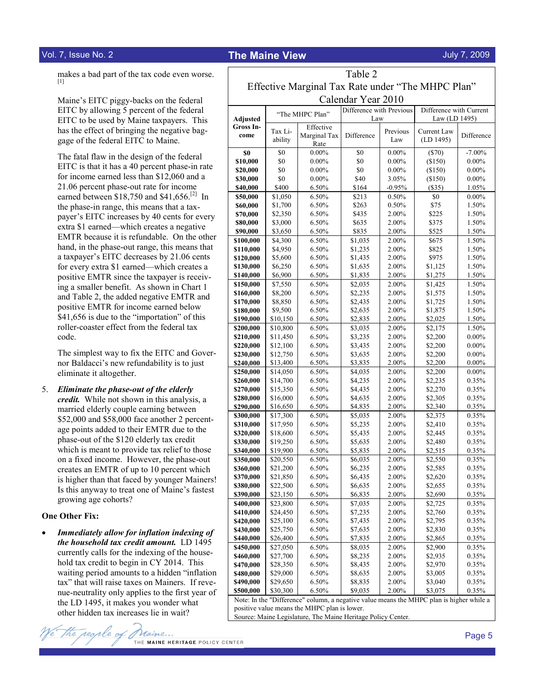makes a bad part of the tax code even worse. [1]

 Maine's EITC piggy-backs on the federal EITC by allowing 5 percent of the federal EITC to be used by Maine taxpayers. This has the effect of bringing the negative baggage of the federal EITC to Maine.

 The fatal flaw in the design of the federal EITC is that it has a 40 percent phase-in rate for income earned less than \$12,060 and a 21.06 percent phase-out rate for income earned between \$18,750 and \$41,656.<sup>[2]</sup> In the phase-in range, this means that a taxpayer's EITC increases by 40 cents for every extra \$1 earned—which creates a negative EMTR because it is refundable. On the other hand, in the phase-out range, this means that a taxpayer's EITC decreases by 21.06 cents for every extra \$1 earned—which creates a positive EMTR since the taxpayer is receiving a smaller benefit. As shown in Chart 1 and Table 2, the added negative EMTR and positive EMTR for income earned below \$41,656 is due to the "importation" of this roller-coaster effect from the federal tax code.

 The simplest way to fix the EITC and Governor Baldacci's new refundability is to just eliminate it altogether.

5. Eliminate the phase-out of the elderly credit. While not shown in this analysis, a married elderly couple earning between \$52,000 and \$58,000 face another 2 percentage points added to their EMTR due to the phase-out of the \$120 elderly tax credit which is meant to provide tax relief to those on a fixed income. However, the phase-out creates an EMTR of up to 10 percent which is higher than that faced by younger Mainers! Is this anyway to treat one of Maine's fastest growing age cohorts?

#### One Other Fix:

• Immediately allow for inflation indexing of the household tax credit amount. LD 1495 currently calls for the indexing of the household tax credit to begin in CY 2014. This waiting period amounts to a hidden "inflation tax" that will raise taxes on Mainers. If revenue-neutrality only applies to the first year of the LD 1495, it makes you wonder what other hidden tax increases lie in wait?



| Table 2                                           |                      |                      |                          |                |                         |                      |  |  |  |  |  |  |
|---------------------------------------------------|----------------------|----------------------|--------------------------|----------------|-------------------------|----------------------|--|--|--|--|--|--|
| Effective Marginal Tax Rate under "The MHPC Plan" |                      |                      |                          |                |                         |                      |  |  |  |  |  |  |
| Calendar Year 2010                                |                      |                      |                          |                |                         |                      |  |  |  |  |  |  |
|                                                   |                      | "The MHPC Plan"      | Difference with Previous |                | Difference with Current |                      |  |  |  |  |  |  |
| <b>Adjusted</b>                                   |                      |                      | Law                      |                | Law (LD 1495)           |                      |  |  |  |  |  |  |
| Gross In-<br>come                                 | Tax Li-              | Effective            |                          | Previous       | Current Law             |                      |  |  |  |  |  |  |
|                                                   | ability              | Marginal Tax<br>Rate | Difference               | Law            | (LD 1495)               | Difference           |  |  |  |  |  |  |
| \$0                                               | \$0                  | $0.00\%$             | \$0                      | $0.00\%$       | $(\$70)$                | $-7.00\%$            |  |  |  |  |  |  |
| \$10,000                                          | \$0                  | $0.00\%$             | \$0                      | $0.00\%$       | (\$150)                 | $0.00\%$             |  |  |  |  |  |  |
| \$20,000                                          | \$0                  | $0.00\%$             | \$0                      | $0.00\%$       | (\$150)                 | $0.00\%$             |  |  |  |  |  |  |
| \$30,000                                          | \$0                  | $0.00\%$             | \$40                     | 3.05%          | (\$150)                 | $0.00\%$             |  |  |  |  |  |  |
| \$40,000                                          | \$400                | 6.50%                | \$164                    | $-0.95%$       | (\$35)                  | 1.05%                |  |  |  |  |  |  |
| \$50,000                                          | \$1,050              | 6.50%                | \$213                    | 0.50%          | \$0                     | $0.00\%$             |  |  |  |  |  |  |
| \$60,000                                          | \$1,700              | 6.50%                | \$263                    | 0.50%          | \$75                    | 1.50%                |  |  |  |  |  |  |
| \$70,000                                          | \$2,350              | 6.50%                | \$435                    | 2.00%          | \$225                   | 1.50%                |  |  |  |  |  |  |
| \$80,000                                          | \$3,000              | 6.50%<br>6.50%       | \$635<br>\$835           | 2.00%<br>2.00% | \$375<br>\$525          | 1.50%                |  |  |  |  |  |  |
| \$90,000<br>\$100,000                             | \$3,650<br>\$4,300   | 6.50%                | \$1,035                  | 2.00%          | \$675                   | 1.50%<br>1.50%       |  |  |  |  |  |  |
| \$110,000                                         | \$4,950              | 6.50%                | \$1,235                  | 2.00%          | \$825                   | 1.50%                |  |  |  |  |  |  |
| \$120,000                                         | \$5,600              | 6.50%                | \$1,435                  | 2.00%          | \$975                   | 1.50%                |  |  |  |  |  |  |
| \$130,000                                         | \$6,250              | 6.50%                | \$1,635                  | 2.00%          | \$1,125                 | 1.50%                |  |  |  |  |  |  |
| \$140,000                                         | \$6,900              | 6.50%                | \$1,835                  | 2.00%          | \$1,275                 | 1.50%                |  |  |  |  |  |  |
| \$150,000                                         | \$7,550              | 6.50%                | \$2,035                  | 2.00%          | \$1,425                 | 1.50%                |  |  |  |  |  |  |
| \$160,000                                         | \$8,200              | 6.50%                | \$2,235                  | 2.00%          | \$1,575                 | 1.50%                |  |  |  |  |  |  |
| \$170,000                                         | \$8,850              | 6.50%                | \$2,435                  | 2.00%          | \$1,725                 | 1.50%                |  |  |  |  |  |  |
| \$180,000                                         | \$9,500              | 6.50%                | \$2,635                  | 2.00%          | \$1,875                 | 1.50%                |  |  |  |  |  |  |
| \$190,000                                         | \$10,150             | 6.50%                | \$2,835                  | 2.00%          | \$2,025                 | 1.50%                |  |  |  |  |  |  |
| \$200,000                                         | \$10,800             | 6.50%                | \$3,035                  | 2.00%          | \$2,175                 | 1.50%                |  |  |  |  |  |  |
| \$210,000                                         | \$11,450             | 6.50%                | \$3,235                  | 2.00%          | \$2,200                 | $0.00\%$             |  |  |  |  |  |  |
| \$220,000                                         | \$12,100             | 6.50%                | \$3,435                  | 2.00%          | \$2,200                 | $0.00\%$             |  |  |  |  |  |  |
| \$230,000                                         | \$12,750<br>\$13,400 | 6.50%                | \$3,635<br>\$3,835       | 2.00%          | \$2,200                 | $0.00\%$<br>$0.00\%$ |  |  |  |  |  |  |
| \$240,000<br>\$250,000                            | \$14,050             | 6.50%<br>6.50%       | \$4,035                  | 2.00%<br>2.00% | \$2,200<br>\$2,200      | $0.00\%$             |  |  |  |  |  |  |
| \$260,000                                         | \$14,700             | 6.50%                | \$4,235                  | 2.00%          | \$2,235                 | 0.35%                |  |  |  |  |  |  |
| \$270,000                                         | \$15,350             | 6.50%                | \$4,435                  | 2.00%          | \$2,270                 | 0.35%                |  |  |  |  |  |  |
| \$280,000                                         | \$16,000             | 6.50%                | \$4,635                  | 2.00%          | \$2,305                 | 0.35%                |  |  |  |  |  |  |
| \$290,000                                         | \$16,650             | 6.50%                | \$4,835                  | 2.00%          | \$2,340                 | 0.35%                |  |  |  |  |  |  |
| \$300,000                                         | \$17,300             | 6.50%                | \$5,035                  | 2.00%          | \$2,375                 | 0.35%                |  |  |  |  |  |  |
| \$310,000                                         | \$17,950             | 6.50%                | \$5,235                  | 2.00%          | \$2,410                 | 0.35%                |  |  |  |  |  |  |
| \$320,000                                         | \$18,600             | 6.50%                | \$5,435                  | 2.00%          | \$2,445                 | 0.35%                |  |  |  |  |  |  |
| \$330,000                                         | \$19,250             | 6.50%                | \$5,635                  | 2.00%          | \$2,480                 | 0.35%                |  |  |  |  |  |  |
| \$340,000                                         | \$19,900             | 6.50%                | \$5,835                  | 2.00%          | \$2,515                 | 0.35%                |  |  |  |  |  |  |
| \$350,000                                         | \$20,550             | 6.50%                | \$6,035                  | 2.00%          | \$2,550                 | 0.35%                |  |  |  |  |  |  |
| \$360,000                                         | \$21,200             | 6.50%                | \$6,235                  | 2.00%<br>2.00% | \$2,585                 | 0.35%                |  |  |  |  |  |  |
| \$370,000<br>\$380,000                            | \$21,850<br>\$22,500 | 6.50%<br>6.50%       | \$6,435<br>\$6,635       | 2.00%          | \$2,620<br>\$2,655      | 0.35%<br>0.35%       |  |  |  |  |  |  |
| \$390,000                                         | \$23,150             | 6.50%                | \$6,835                  | 2.00%          | \$2,690                 | 0.35%                |  |  |  |  |  |  |
| \$400,000                                         | \$23,800             | 6.50%                | \$7,035                  | 2.00%          | \$2,725                 | 0.35%                |  |  |  |  |  |  |
| \$410,000                                         | \$24,450             | 6.50%                | \$7,235                  | 2.00%          | \$2,760                 | 0.35%                |  |  |  |  |  |  |
| \$420,000                                         | \$25,100             | 6.50%                | \$7,435                  | 2.00%          | \$2,795                 | 0.35%                |  |  |  |  |  |  |
| \$430,000                                         | \$25,750             | 6.50%                | \$7,635                  | 2.00%          | \$2,830                 | 0.35%                |  |  |  |  |  |  |
| \$440,000                                         | \$26,400             | 6.50%                | \$7,835                  | 2.00%          | \$2,865                 | 0.35%                |  |  |  |  |  |  |
| \$450,000                                         | \$27,050             | 6.50%                | \$8,035                  | 2.00%          | \$2,900                 | 0.35%                |  |  |  |  |  |  |
| \$460,000                                         | \$27,700             | 6.50%                | \$8,235                  | 2.00%          | \$2,935                 | 0.35%                |  |  |  |  |  |  |
| \$470,000                                         | \$28,350             | 6.50%                | \$8,435                  | 2.00%          | \$2,970                 | 0.35%                |  |  |  |  |  |  |
| \$480,000                                         | \$29,000             | 6.50%                | \$8,635                  | 2.00%          | \$3,005                 | 0.35%                |  |  |  |  |  |  |
| \$490,000                                         | \$29,650             | 6.50%                | \$8,835                  | 2.00%          | \$3,040                 | 0.35%                |  |  |  |  |  |  |
| \$500,000                                         | \$30.300             | 6.50%                | \$9.035                  | 2.00%          | \$3,075                 | 0.35%                |  |  |  |  |  |  |

Note: In the "Difference" column, a negative value means the MHPC plan is higher while a positive value means the MHPC plan is lower.

Source: Maine Legislature, The Maine Heritage Policy Center.